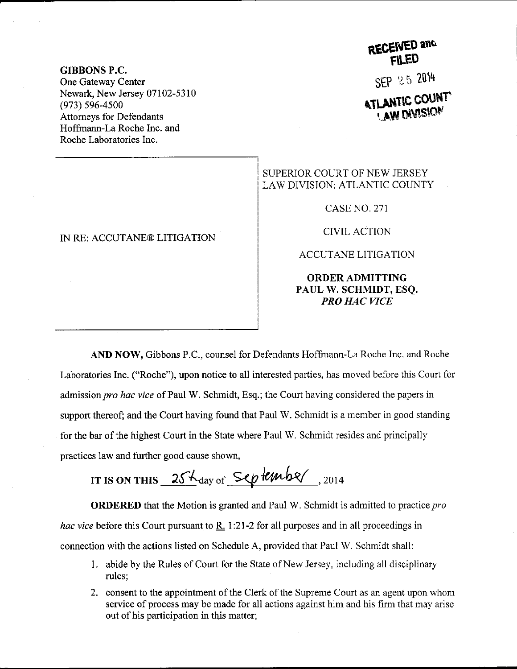GIBBONS P.C. One Gateway Center Newark, New Jersey 07102-5310 (e73) s96-4s00 Attomeys for Defendants Hoffmaan-La Roche Inc. and Roche Laboratories Inc.

## IN RE: ACCUTANE@ LITIGATION

## RECENED and

SEP 25 2014

**ATLANTIC COUNT** 

## SUPERIOR COURT OF NEW JERSEY LAW DIVISION: ATLANTIC COUNTY

CASE NO. 271

CTVIL ACTION

ACCUTANE LITIGATION

## ORDERADMITTING PAUL W. SCHMIDT, ESQ. PRO HAC VICE

AND NOW, Gibbons P.C., counsel for Defendants Hoffmann-La Roche Inc. and Roche Laboratories Inc. ("Roche"), upon notice to all interested parties, has moved before this Court for admission pro hac vice of Paul W. Schmidt, Esq.; the Court having considered the papers in support thereof; and the Court having found that Paul W. Schmidt is a member in good standing for the bar of the highest Court in the State where Paul W. Schmidt resides and principally practices 1aw and further good cause shown,

IT IS ON THIS  $25\frac{\text{kg}}{\text{day of}}$  September, 2014

ORDERED that the Motion is granted and Paul W. Schmidt is admitted to practice pro hac vice before this Court pursuant to  $R<sub>i</sub>$  1:21-2 for all purposes and in all proceedings in connection with the actions listed on Schedule A, provided that Paul W. Schmidt shall:

- 1. abide by the Rules of Court for the State of New Jersey, including all disciplinary rules;
- 2. consent to the appointment of the Clerk of the Supreme Court as an agent upon whom service of process may be made for all actions against him and his firm that may arise out of his participation in this matter;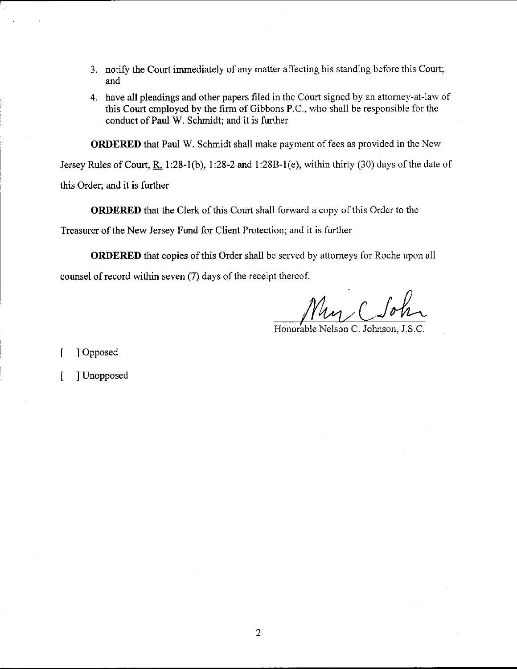- 3. notify the Court immediately of any matter affecting his standing before this Court; and
- 4. have all pleadings and other papers filed in the Court signed by an attorney-at-law of this Court employed by the firm of Gibbons P.C., who shall be responsible for the conduct of Paul W. Schmidt; and it is fufther

ORDERED that Paul W. Schmidt shall make payment of fees as provided in the New

Jersey Rules of Court, R. 1:28-1(b), 1:28-2 and 1:28B-1(e), within thirty (30) days of the date of this Order; and it is further

ORDERED that the Clerk of this Court shall forward a copy of this Order to the

Treasurer of the New Jersey Fund for Client Protection; and it is further

ORDERED that copies of this Order shall be served by attorneys for Roche upon all counsel of record within seven  $(7)$  days of the receipt thereof.

Nu, C Son

Honorable Nelson C. Johnson.

[ ] Opposed

[ ] Unopposed